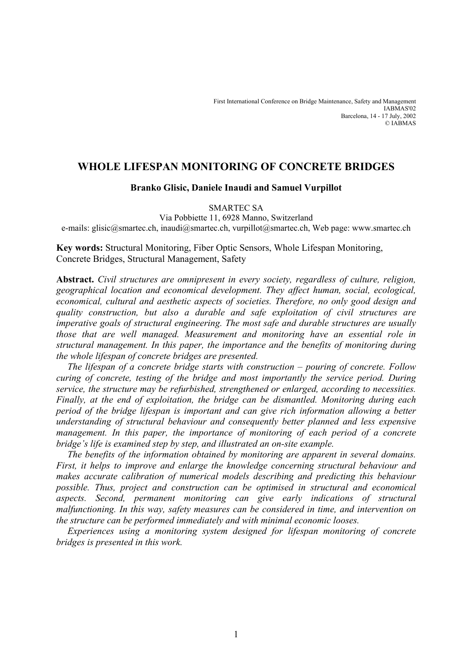# **WHOLE LIFESPAN MONITORING OF CONCRETE BRIDGES**

# **Branko Glisic, Daniele Inaudi and Samuel Vurpillot**

### SMARTEC SA

Via Pobbiette 11, 6928 Manno, Switzerland e-mails: glisic@smartec.ch, inaudi@smartec.ch, vurpillot@smartec.ch, Web page: www.smartec.ch

# **Key words:** Structural Monitoring, Fiber Optic Sensors, Whole Lifespan Monitoring, Concrete Bridges, Structural Management, Safety

**Abstract.** *Civil structures are omnipresent in every society, regardless of culture, religion, geographical location and economical development. They affect human, social, ecological, economical, cultural and aesthetic aspects of societies. Therefore, no only good design and quality construction, but also a durable and safe exploitation of civil structures are imperative goals of structural engineering. The most safe and durable structures are usually those that are well managed. Measurement and monitoring have an essential role in structural management. In this paper, the importance and the benefits of monitoring during the whole lifespan of concrete bridges are presented.* 

*The lifespan of a concrete bridge starts with construction – pouring of concrete. Follow curing of concrete, testing of the bridge and most importantly the service period. During service, the structure may be refurbished, strengthened or enlarged, according to necessities. Finally, at the end of exploitation, the bridge can be dismantled. Monitoring during each period of the bridge lifespan is important and can give rich information allowing a better understanding of structural behaviour and consequently better planned and less expensive management. In this paper, the importance of monitoring of each period of a concrete bridge's life is examined step by step, and illustrated an on-site example.* 

*The benefits of the information obtained by monitoring are apparent in several domains. First, it helps to improve and enlarge the knowledge concerning structural behaviour and makes accurate calibration of numerical models describing and predicting this behaviour possible. Thus, project and construction can be optimised in structural and economical aspects. Second, permanent monitoring can give early indications of structural malfunctioning. In this way, safety measures can be considered in time, and intervention on the structure can be performed immediately and with minimal economic looses.* 

*Experiences using a monitoring system designed for lifespan monitoring of concrete bridges is presented in this work.*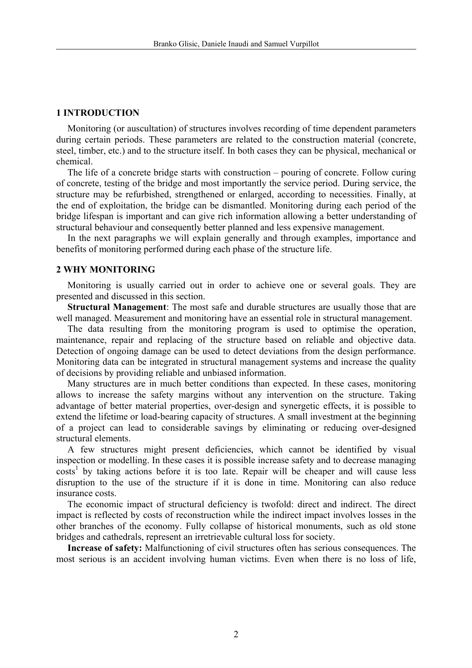#### **1 INTRODUCTION**

Monitoring (or auscultation) of structures involves recording of time dependent parameters during certain periods. These parameters are related to the construction material (concrete, steel, timber, etc.) and to the structure itself. In both cases they can be physical, mechanical or chemical.

The life of a concrete bridge starts with construction – pouring of concrete. Follow curing of concrete, testing of the bridge and most importantly the service period. During service, the structure may be refurbished, strengthened or enlarged, according to necessities. Finally, at the end of exploitation, the bridge can be dismantled. Monitoring during each period of the bridge lifespan is important and can give rich information allowing a better understanding of structural behaviour and consequently better planned and less expensive management.

In the next paragraphs we will explain generally and through examples, importance and benefits of monitoring performed during each phase of the structure life.

#### **2 WHY MONITORING**

Monitoring is usually carried out in order to achieve one or several goals. They are presented and discussed in this section.

**Structural Management**: The most safe and durable structures are usually those that are well managed. Measurement and monitoring have an essential role in structural management.

The data resulting from the monitoring program is used to optimise the operation, maintenance, repair and replacing of the structure based on reliable and objective data. Detection of ongoing damage can be used to detect deviations from the design performance. Monitoring data can be integrated in structural management systems and increase the quality of decisions by providing reliable and unbiased information.

Many structures are in much better conditions than expected. In these cases, monitoring allows to increase the safety margins without any intervention on the structure. Taking advantage of better material properties, over-design and synergetic effects, it is possible to extend the lifetime or load-bearing capacity of structures. A small investment at the beginning of a project can lead to considerable savings by eliminating or reducing over-designed structural elements.

A few structures might present deficiencies, which cannot be identified by visual inspection or modelling. In these cases it is possible increase safety and to decrease managing costs<sup>1</sup> by taking actions before it is too late. Repair will be cheaper and will cause less disruption to the use of the structure if it is done in time. Monitoring can also reduce insurance costs.

The economic impact of structural deficiency is twofold: direct and indirect. The direct impact is reflected by costs of reconstruction while the indirect impact involves losses in the other branches of the economy. Fully collapse of historical monuments, such as old stone bridges and cathedrals, represent an irretrievable cultural loss for society.

**Increase of safety:** Malfunctioning of civil structures often has serious consequences. The most serious is an accident involving human victims. Even when there is no loss of life,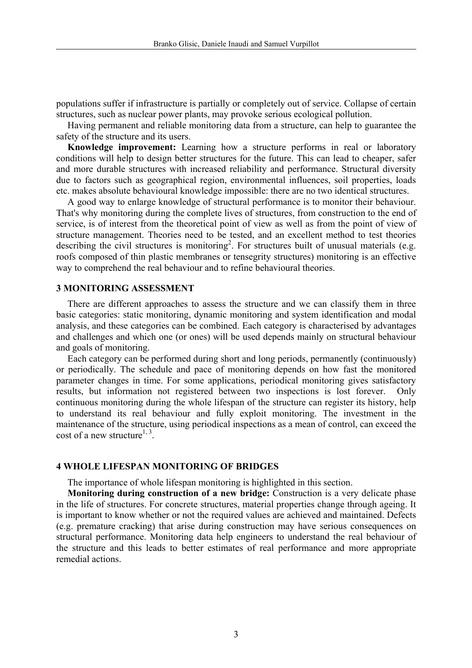populations suffer if infrastructure is partially or completely out of service. Collapse of certain structures, such as nuclear power plants, may provoke serious ecological pollution.

Having permanent and reliable monitoring data from a structure, can help to guarantee the safety of the structure and its users.

**Knowledge improvement:** Learning how a structure performs in real or laboratory conditions will help to design better structures for the future. This can lead to cheaper, safer and more durable structures with increased reliability and performance. Structural diversity due to factors such as geographical region, environmental influences, soil properties, loads etc. makes absolute behavioural knowledge impossible: there are no two identical structures.

A good way to enlarge knowledge of structural performance is to monitor their behaviour. That's why monitoring during the complete lives of structures, from construction to the end of service, is of interest from the theoretical point of view as well as from the point of view of structure management. Theories need to be tested, and an excellent method to test theories describing the civil structures is monitoring<sup>2</sup>. For structures built of unusual materials (e.g. roofs composed of thin plastic membranes or tensegrity structures) monitoring is an effective way to comprehend the real behaviour and to refine behavioural theories.

#### **3 MONITORING ASSESSMENT**

There are different approaches to assess the structure and we can classify them in three basic categories: static monitoring, dynamic monitoring and system identification and modal analysis, and these categories can be combined. Each category is characterised by advantages and challenges and which one (or ones) will be used depends mainly on structural behaviour and goals of monitoring.

Each category can be performed during short and long periods, permanently (continuously) or periodically. The schedule and pace of monitoring depends on how fast the monitored parameter changes in time. For some applications, periodical monitoring gives satisfactory results, but information not registered between two inspections is lost forever. Only continuous monitoring during the whole lifespan of the structure can register its history, help to understand its real behaviour and fully exploit monitoring. The investment in the maintenance of the structure, using periodical inspections as a mean of control, can exceed the cost of a new structure<sup>1, 3</sup>

## **4 WHOLE LIFESPAN MONITORING OF BRIDGES**

The importance of whole lifespan monitoring is highlighted in this section.

**Monitoring during construction of a new bridge:** Construction is a very delicate phase in the life of structures. For concrete structures, material properties change through ageing. It is important to know whether or not the required values are achieved and maintained. Defects (e.g. premature cracking) that arise during construction may have serious consequences on structural performance. Monitoring data help engineers to understand the real behaviour of the structure and this leads to better estimates of real performance and more appropriate remedial actions.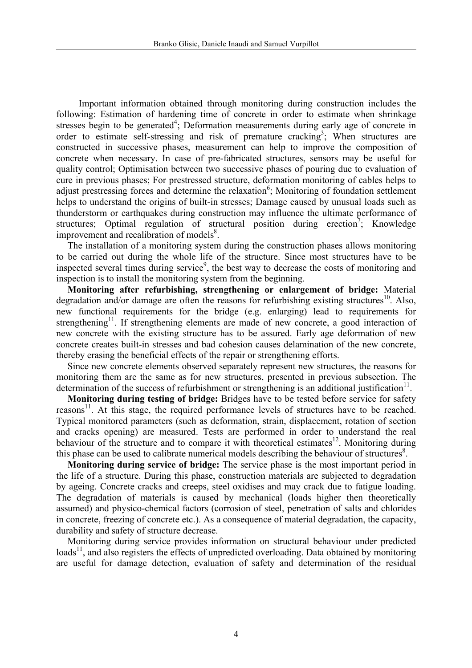Important information obtained through monitoring during construction includes the following: Estimation of hardening time of concrete in order to estimate when shrinkage stresses begin to be generated<sup>4</sup>; Deformation measurements during early age of concrete in order to estimate self-stressing and risk of premature cracking<sup>3</sup>; When structures are constructed in successive phases, measurement can help to improve the composition of concrete when necessary. In case of pre-fabricated structures, sensors may be useful for quality control; Optimisation between two successive phases of pouring due to evaluation of cure in previous phases; For prestressed structure, deformation monitoring of cables helps to adjust prestressing forces and determine the relaxation<sup>6</sup>; Monitoring of foundation settlement helps to understand the origins of built-in stresses; Damage caused by unusual loads such as thunderstorm or earthquakes during construction may influence the ultimate performance of structures; Optimal regulation of structural position during erection<sup>7</sup>; Knowledge improvement and recalibration of models $8$ .

The installation of a monitoring system during the construction phases allows monitoring to be carried out during the whole life of the structure. Since most structures have to be inspected several times during service<sup>9</sup>, the best way to decrease the costs of monitoring and inspection is to install the monitoring system from the beginning.

**Monitoring after refurbishing, strengthening or enlargement of bridge:** Material degradation and/or damage are often the reasons for refurbishing existing structures<sup>10</sup>. Also, new functional requirements for the bridge (e.g. enlarging) lead to requirements for strengthening<sup>11</sup>. If strengthening elements are made of new concrete, a good interaction of new concrete with the existing structure has to be assured. Early age deformation of new concrete creates built-in stresses and bad cohesion causes delamination of the new concrete, thereby erasing the beneficial effects of the repair or strengthening efforts.

Since new concrete elements observed separately represent new structures, the reasons for monitoring them are the same as for new structures, presented in previous subsection. The determination of the success of refurbishment or strengthening is an additional justification<sup>11</sup>.

**Monitoring during testing of bridge:** Bridges have to be tested before service for safety reasons $11$ . At this stage, the required performance levels of structures have to be reached. Typical monitored parameters (such as deformation, strain, displacement, rotation of section and cracks opening) are measured. Tests are performed in order to understand the real behaviour of the structure and to compare it with theoretical estimates<sup>12</sup>. Monitoring during this phase can be used to calibrate numerical models describing the behaviour of structures $\delta$ .

**Monitoring during service of bridge:** The service phase is the most important period in the life of a structure. During this phase, construction materials are subjected to degradation by ageing. Concrete cracks and creeps, steel oxidises and may crack due to fatigue loading. The degradation of materials is caused by mechanical (loads higher then theoretically assumed) and physico-chemical factors (corrosion of steel, penetration of salts and chlorides in concrete, freezing of concrete etc.). As a consequence of material degradation, the capacity, durability and safety of structure decrease.

Monitoring during service provides information on structural behaviour under predicted  $\text{loads}^{11}$ , and also registers the effects of unpredicted overloading. Data obtained by monitoring are useful for damage detection, evaluation of safety and determination of the residual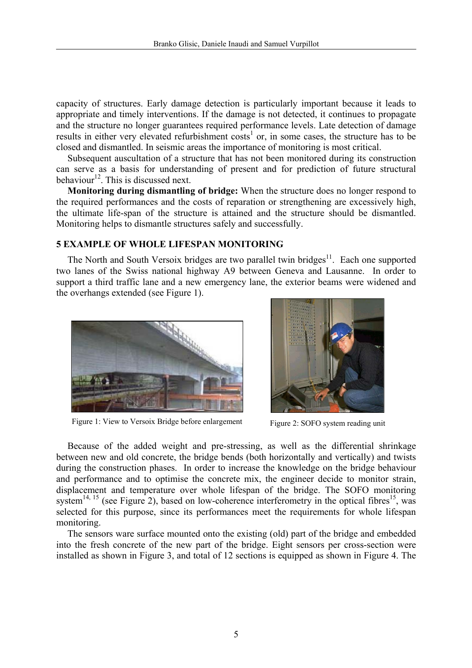capacity of structures. Early damage detection is particularly important because it leads to appropriate and timely interventions. If the damage is not detected, it continues to propagate and the structure no longer guarantees required performance levels. Late detection of damage results in either very elevated refurbishment  $\cos s^1$  or, in some cases, the structure has to be closed and dismantled. In seismic areas the importance of monitoring is most critical.

Subsequent auscultation of a structure that has not been monitored during its construction can serve as a basis for understanding of present and for prediction of future structural behaviour<sup>12</sup>. This is discussed next.

**Monitoring during dismantling of bridge:** When the structure does no longer respond to the required performances and the costs of reparation or strengthening are excessively high, the ultimate life-span of the structure is attained and the structure should be dismantled. Monitoring helps to dismantle structures safely and successfully.

## **5 EXAMPLE OF WHOLE LIFESPAN MONITORING**

The North and South Versoix bridges are two parallel twin bridges $11$ . Each one supported two lanes of the Swiss national highway A9 between Geneva and Lausanne. In order to support a third traffic lane and a new emergency lane, the exterior beams were widened and the overhangs extended (see Figure 1).



Figure 1: View to Versoix Bridge before enlargement Figure 2: SOFO system reading unit



Because of the added weight and pre-stressing, as well as the differential shrinkage between new and old concrete, the bridge bends (both horizontally and vertically) and twists during the construction phases. In order to increase the knowledge on the bridge behaviour and performance and to optimise the concrete mix, the engineer decide to monitor strain, displacement and temperature over whole lifespan of the bridge. The SOFO monitoring system<sup>14, 15</sup> (see Figure 2), based on low-coherence interferometry in the optical fibres<sup>15</sup>, was selected for this purpose, since its performances meet the requirements for whole lifespan monitoring.

The sensors ware surface mounted onto the existing (old) part of the bridge and embedded into the fresh concrete of the new part of the bridge. Eight sensors per cross-section were installed as shown in Figure 3, and total of 12 sections is equipped as shown in Figure 4. The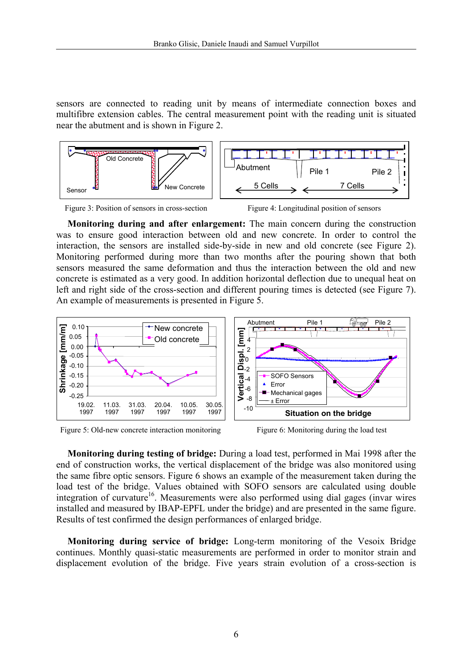sensors are connected to reading unit by means of intermediate connection boxes and multifibre extension cables. The central measurement point with the reading unit is situated near the abutment and is shown in Figure 2.





Figure 4: Longitudinal position of sensors

**Monitoring during and after enlargement:** The main concern during the construction was to ensure good interaction between old and new concrete. In order to control the interaction, the sensors are installed side-by-side in new and old concrete (see Figure 2). Monitoring performed during more than two months after the pouring shown that both sensors measured the same deformation and thus the interaction between the old and new concrete is estimated as a very good. In addition horizontal deflection due to unequal heat on left and right side of the cross-section and different pouring times is detected (see Figure 7). An example of measurements is presented in Figure 5.



Figure 5: Old-new concrete interaction monitoring Figure 6: Monitoring during the load test

**Monitoring during testing of bridge:** During a load test, performed in Mai 1998 after the end of construction works, the vertical displacement of the bridge was also monitored using the same fibre optic sensors. Figure 6 shows an example of the measurement taken during the load test of the bridge. Values obtained with SOFO sensors are calculated using double integration of curvature<sup>16</sup>. Measurements were also performed using dial gages (invar wires installed and measured by IBAP-EPFL under the bridge) and are presented in the same figure. Results of test confirmed the design performances of enlarged bridge.

**Monitoring during service of bridge:** Long-term monitoring of the Vesoix Bridge continues. Monthly quasi-static measurements are performed in order to monitor strain and displacement evolution of the bridge. Five years strain evolution of a cross-section is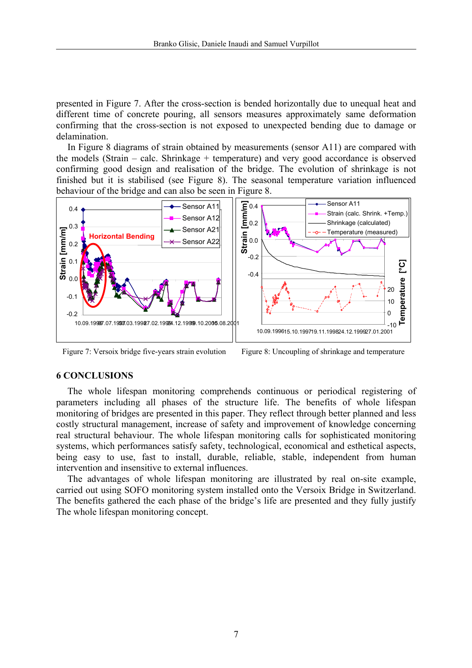presented in Figure 7. After the cross-section is bended horizontally due to unequal heat and different time of concrete pouring, all sensors measures approximately same deformation confirming that the cross-section is not exposed to unexpected bending due to damage or delamination.

In Figure 8 diagrams of strain obtained by measurements (sensor A11) are compared with the models (Strain – calc. Shrinkage + temperature) and very good accordance is observed confirming good design and realisation of the bridge. The evolution of shrinkage is not finished but it is stabilised (see Figure 8). The seasonal temperature variation influenced behaviour of the bridge and can also be seen in Figure 8.



Figure 7: Versoix bridge five-years strain evolution Figure 8: Uncoupling of shrinkage and temperature

### **6 CONCLUSIONS**

The whole lifespan monitoring comprehends continuous or periodical registering of parameters including all phases of the structure life. The benefits of whole lifespan monitoring of bridges are presented in this paper. They reflect through better planned and less costly structural management, increase of safety and improvement of knowledge concerning real structural behaviour. The whole lifespan monitoring calls for sophisticated monitoring systems, which performances satisfy safety, technological, economical and esthetical aspects, being easy to use, fast to install, durable, reliable, stable, independent from human intervention and insensitive to external influences.

The advantages of whole lifespan monitoring are illustrated by real on-site example, carried out using SOFO monitoring system installed onto the Versoix Bridge in Switzerland. The benefits gathered the each phase of the bridge's life are presented and they fully justify The whole lifespan monitoring concept.